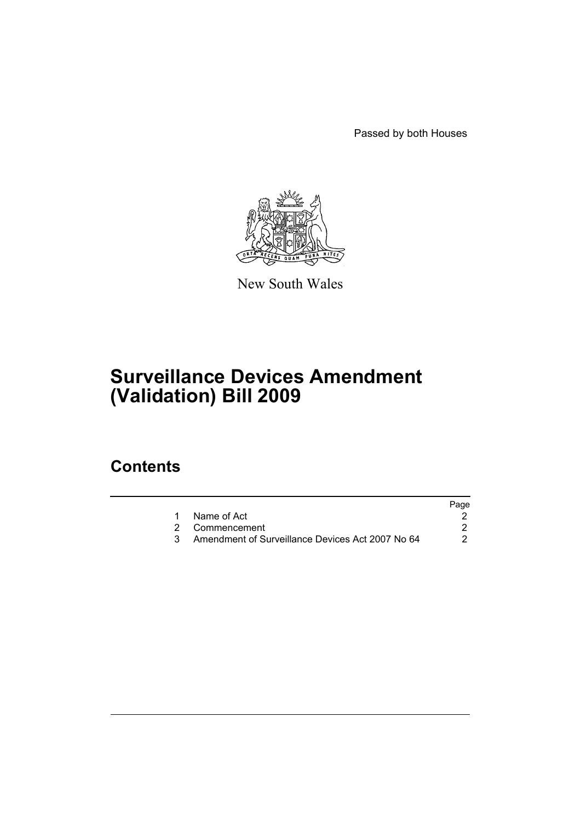Passed by both Houses



New South Wales

# **Surveillance Devices Amendment (Validation) Bill 2009**

### **Contents**

|                                                  | Page |
|--------------------------------------------------|------|
| Name of Act                                      |      |
| 2 Commencement                                   |      |
| Amendment of Surveillance Devices Act 2007 No 64 | 2.   |
|                                                  |      |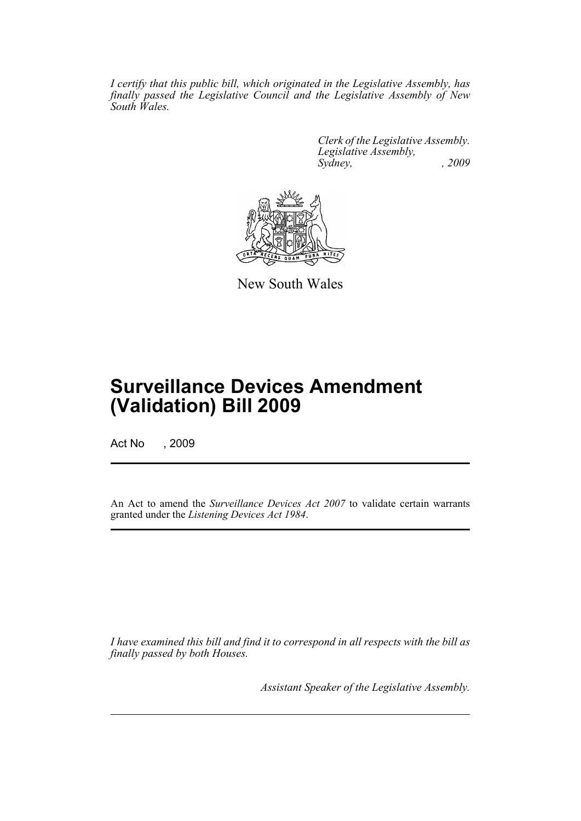*I certify that this public bill, which originated in the Legislative Assembly, has finally passed the Legislative Council and the Legislative Assembly of New South Wales.*

> *Clerk of the Legislative Assembly. Legislative Assembly, Sydney, , 2009*



New South Wales

## **Surveillance Devices Amendment (Validation) Bill 2009**

Act No , 2009

An Act to amend the *Surveillance Devices Act 2007* to validate certain warrants granted under the *Listening Devices Act 1984*.

*I have examined this bill and find it to correspond in all respects with the bill as finally passed by both Houses.*

*Assistant Speaker of the Legislative Assembly.*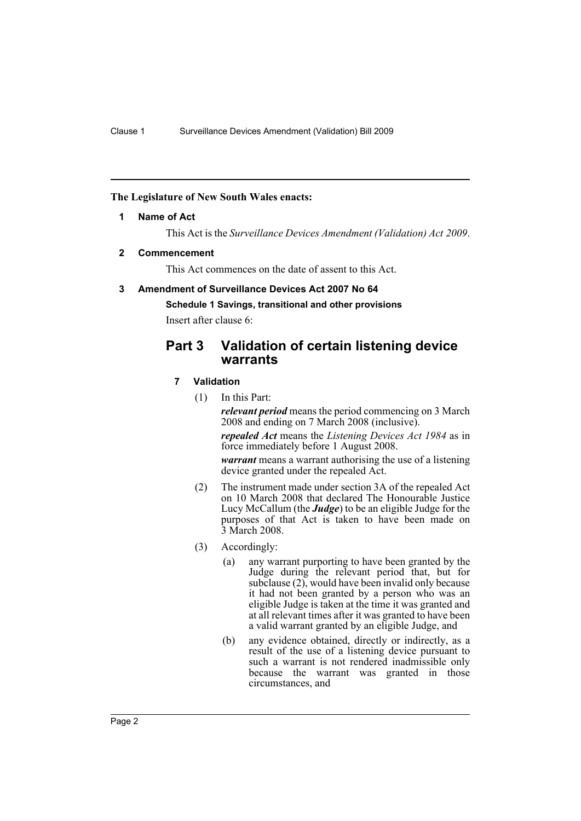#### <span id="page-2-0"></span>**The Legislature of New South Wales enacts:**

#### **1 Name of Act**

This Act is the *Surveillance Devices Amendment (Validation) Act 2009*.

#### <span id="page-2-1"></span>**2 Commencement**

This Act commences on the date of assent to this Act.

#### <span id="page-2-2"></span>**3 Amendment of Surveillance Devices Act 2007 No 64**

**Schedule 1 Savings, transitional and other provisions**

Insert after clause 6:

### **Part 3 Validation of certain listening device warrants**

#### **7 Validation**

(1) In this Part:

*relevant period* means the period commencing on 3 March 2008 and ending on 7 March 2008 (inclusive).

*repealed Act* means the *Listening Devices Act 1984* as in force immediately before 1 August 2008.

*warrant* means a warrant authorising the use of a listening device granted under the repealed Act.

- (2) The instrument made under section 3A of the repealed Act on 10 March 2008 that declared The Honourable Justice Lucy McCallum (the *Judge*) to be an eligible Judge for the purposes of that Act is taken to have been made on 3 March 2008.
- (3) Accordingly:
	- (a) any warrant purporting to have been granted by the Judge during the relevant period that, but for subclause (2), would have been invalid only because it had not been granted by a person who was an eligible Judge is taken at the time it was granted and at all relevant times after it was granted to have been a valid warrant granted by an eligible Judge, and
	- (b) any evidence obtained, directly or indirectly, as a result of the use of a listening device pursuant to such a warrant is not rendered inadmissible only because the warrant was granted in those circumstances, and